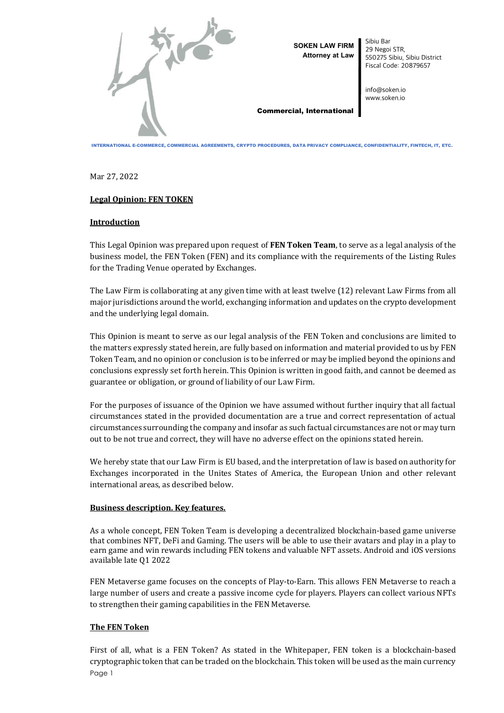

**SOKEN LAW FIRM Attorney at Law** 

Sibiu Bar 29 Negoi STR, 550275 Sibiu, Sibiu District Fiscal Code: 20879657

info@soken.io www.soken.io

#### Commercial, International

INTERNATIONAL E-COMMERCE, COMMERCIAL AGREEMENTS, CRYPTO PROCEDURES, DATA PRIVACY COMPLIANCE, CONFIDENTIALITY, FINTECH, IT, ETC.

Mar 27, 2022

## **Legal Opinion: FEN TOKEN**

# **Introduction**

This Legal Opinion was prepared upon request of **FEN Token Team**, to serve as a legal analysis of the business model, the FEN Token (FEN) and its compliance with the requirements of the Listing Rules for the Trading Venue operated by Exchanges.

The Law Firm is collaborating at any given time with at least twelve (12) relevant Law Firms from all major jurisdictions around the world, exchanging information and updates on the crypto development and the underlying legal domain.

This Opinion is meant to serve as our legal analysis of the FEN Token and conclusions are limited to the matters expressly stated herein, are fully based on information and material provided to us by FEN Token Team, and no opinion or conclusion is to be inferred or may be implied beyond the opinions and conclusions expressly set forth herein. This Opinion is written in good faith, and cannot be deemed as guarantee or obligation, or ground of liability of our Law Firm.

For the purposes of issuance of the Opinion we have assumed without further inquiry that all factual circumstances stated in the provided documentation are a true and correct representation of actual circumstances surrounding the company and insofar as such factual circumstances are not or may turn out to be not true and correct, they will have no adverse effect on the opinions stated herein.

We hereby state that our Law Firm is EU based, and the interpretation of law is based on authority for Exchanges incorporated in the Unites States of America, the European Union and other relevant international areas, as described below.

## **Business description. Key features.**

As a whole concept, FEN Token Team is developing a decentralized blockchain-based game universe that combines NFT, DeFi and Gaming. The users will be able to use their avatars and play in a play to earn game and win rewards including FEN tokens and valuable NFT assets. Android and iOS versions available late Q1 2022

FEN Metaverse game focuses on the concepts of Play-to-Earn. This allows FEN Metaverse to reach a large number of users and create a passive income cycle for players. Players can collect various NFTs to strengthen their gaming capabilities in the FEN Metaverse.

## **The FEN Token**

Page 1 First of all, what is a FEN Token? As stated in the Whitepaper, FEN token is a blockchain-based cryptographic token that can be traded on the blockchain. This token will be used as the main currency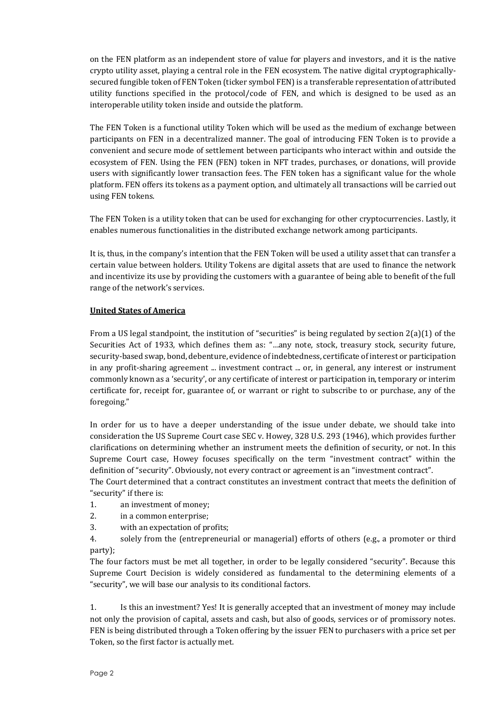on the FEN platform as an independent store of value for players and investors, and it is the native crypto utility asset, playing a central role in the FEN ecosystem. The native digital cryptographicallysecured fungible token of FEN Token (ticker symbol FEN) is a transferable representation of attributed utility functions specified in the protocol/code of FEN, and which is designed to be used as an interoperable utility token inside and outside the platform.

The FEN Token is a functional utility Token which will be used as the medium of exchange between participants on FEN in a decentralized manner. The goal of introducing FEN Token is to provide a convenient and secure mode of settlement between participants who interact within and outside the ecosystem of FEN. Using the FEN (FEN) token in NFT trades, purchases, or donations, will provide users with significantly lower transaction fees. The FEN token has a significant value for the whole platform. FEN offers its tokens as a payment option, and ultimately all transactions will be carried out using FEN tokens.

The FEN Token is a utility token that can be used for exchanging for other cryptocurrencies. Lastly, it enables numerous functionalities in the distributed exchange network among participants.

It is, thus, in the company's intention that the FEN Token will be used a utility asset that can transfer a certain value between holders. Utility Tokens are digital assets that are used to finance the network and incentivize its use by providing the customers with a guarantee of being able to benefit of the full range of the network's services.

## **United States of America**

From a US legal standpoint, the institution of "securities" is being regulated by section 2(a)(1) of the Securities Act of 1933, which defines them as: "…any note, stock, treasury stock, security future, security-based swap, bond, debenture, evidence of indebtedness, certificate of interest or participation in any profit-sharing agreement ... investment contract ... or, in general, any interest or instrument commonly known as a 'security', or any certificate of interest or participation in, temporary or interim certificate for, receipt for, guarantee of, or warrant or right to subscribe to or purchase, any of the foregoing."

In order for us to have a deeper understanding of the issue under debate, we should take into consideration the US Supreme Court case SEC v. Howey, 328 U.S. 293 (1946), which provides further clarifications on determining whether an instrument meets the definition of security, or not. In this Supreme Court case, Howey focuses specifically on the term "investment contract" within the definition of "security". Obviously, not every contract or agreement is an "investment contract".

The Court determined that a contract constitutes an investment contract that meets the definition of "security" if there is:

- 1. an investment of money;
- 2. in a common enterprise;
- 3. with an expectation of profits;

4. solely from the (entrepreneurial or managerial) efforts of others (e.g., a promoter or third party);

The four factors must be met all together, in order to be legally considered "security". Because this Supreme Court Decision is widely considered as fundamental to the determining elements of a "security", we will base our analysis to its conditional factors.

1. Is this an investment? Yes! It is generally accepted that an investment of money may include not only the provision of capital, assets and cash, but also of goods, services or of promissory notes. FEN is being distributed through a Token offering by the issuer FEN to purchasers with a price set per Token, so the first factor is actually met.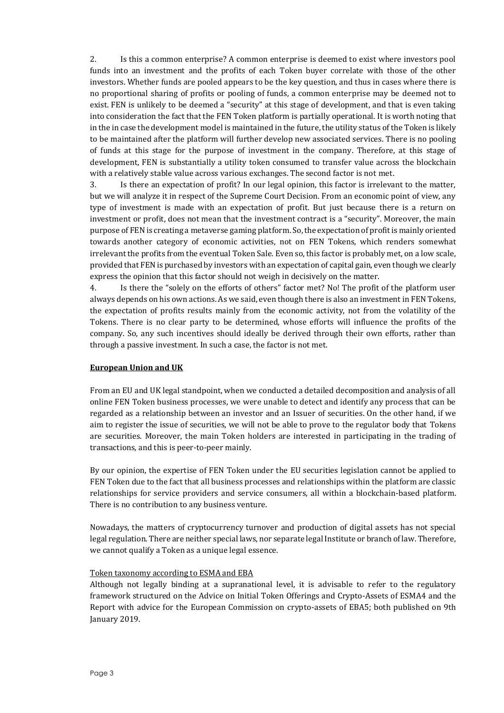2. Is this a common enterprise? A common enterprise is deemed to exist where investors pool funds into an investment and the profits of each Token buyer correlate with those of the other investors. Whether funds are pooled appears to be the key question, and thus in cases where there is no proportional sharing of profits or pooling of funds, a common enterprise may be deemed not to exist. FEN is unlikely to be deemed a "security" at this stage of development, and that is even taking into consideration the fact that the FEN Token platform is partially operational. It is worth noting that in the in case the development model is maintained in the future, the utility status of the Token is likely to be maintained after the platform will further develop new associated services. There is no pooling of funds at this stage for the purpose of investment in the company. Therefore, at this stage of development, FEN is substantially a utility token consumed to transfer value across the blockchain with a relatively stable value across various exchanges. The second factor is not met.

3. Is there an expectation of profit? In our legal opinion, this factor is irrelevant to the matter, but we will analyze it in respect of the Supreme Court Decision. From an economic point of view, any type of investment is made with an expectation of profit. But just because there is a return on investment or profit, does not mean that the investment contract is a "security". Moreover, the main purpose of FEN is creating a metaverse gaming platform. So, the expectation of profit is mainly oriented towards another category of economic activities, not on FEN Tokens, which renders somewhat irrelevant the profits from the eventual Token Sale. Even so, this factor is probably met, on a low scale, provided that FENis purchased by investors with an expectation of capital gain, even though we clearly express the opinion that this factor should not weigh in decisively on the matter.

4. Is there the "solely on the efforts of others" factor met? No! The profit of the platform user always depends on his own actions. As we said, even though there is also an investment in FENTokens, the expectation of profits results mainly from the economic activity, not from the volatility of the Tokens. There is no clear party to be determined, whose efforts will influence the profits of the company. So, any such incentives should ideally be derived through their own efforts, rather than through a passive investment. In such a case, the factor is not met.

#### **European Union and UK**

From an EU and UK legal standpoint, when we conducted a detailed decomposition and analysis of all online FEN Token business processes, we were unable to detect and identify any process that can be regarded as a relationship between an investor and an Issuer of securities. On the other hand, if we aim to register the issue of securities, we will not be able to prove to the regulator body that Tokens are securities. Moreover, the main Token holders are interested in participating in the trading of transactions, and this is peer-to-peer mainly.

By our opinion, the expertise of FEN Token under the EU securities legislation cannot be applied to FEN Token due to the fact that all business processes and relationships within the platform are classic relationships for service providers and service consumers, all within a blockchain-based platform. There is no contribution to any business venture.

Nowadays, the matters of cryptocurrency turnover and production of digital assets has not special legal regulation. There are neither special laws, nor separate legal Institute or branch of law. Therefore, we cannot qualify a Token as a unique legal essence.

#### Token taxonomy according to ESMA and EBA

Although not legally binding at a supranational level, it is advisable to refer to the regulatory framework structured on the Advice on Initial Token Offerings and Crypto-Assets of ESMA4 and the Report with advice for the European Commission on crypto-assets of EBA5; both published on 9th January 2019.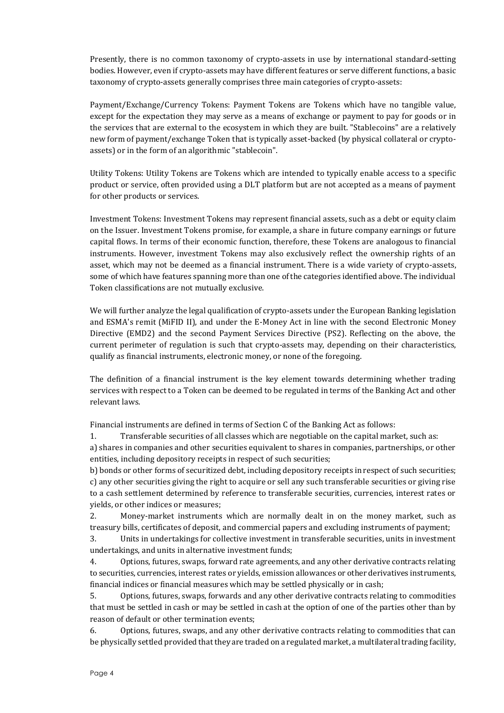Presently, there is no common taxonomy of crypto-assets in use by international standard-setting bodies. However, even if crypto-assets may have different features or serve different functions, a basic taxonomy of crypto-assets generally comprises three main categories of crypto-assets:

Payment/Exchange/Currency Tokens: Payment Tokens are Tokens which have no tangible value, except for the expectation they may serve as a means of exchange or payment to pay for goods or in the services that are external to the ecosystem in which they are built. "Stablecoins" are a relatively new form of payment/exchange Token that is typically asset-backed (by physical collateral or cryptoassets) or in the form of an algorithmic "stablecoin".

Utility Tokens: Utility Tokens are Tokens which are intended to typically enable access to a specific product or service, often provided using a DLT platform but are not accepted as a means of payment for other products or services.

Investment Tokens: Investment Tokens may represent financial assets, such as a debt or equity claim on the Issuer. Investment Tokens promise, for example, a share in future company earnings or future capital flows. In terms of their economic function, therefore, these Tokens are analogous to financial instruments. However, investment Tokens may also exclusively reflect the ownership rights of an asset, which may not be deemed as a financial instrument. There is a wide variety of crypto-assets, some of which have features spanning more than one of the categories identified above. The individual Token classifications are not mutually exclusive.

We will further analyze the legal qualification of crypto-assets under the European Banking legislation and ESMA's remit (MiFID II), and under the E-Money Act in line with the second Electronic Money Directive (EMD2) and the second Payment Services Directive (PS2). Reflecting on the above, the current perimeter of regulation is such that crypto-assets may, depending on their characteristics, qualify as financial instruments, electronic money, or none of the foregoing.

The definition of a financial instrument is the key element towards determining whether trading services with respect to a Token can be deemed to be regulated in terms of the Banking Act and other relevant laws.

Financial instruments are defined in terms of Section C of the Banking Act as follows:

1. Transferable securities of all classes which are negotiable on the capital market, such as:

a) shares in companies and other securities equivalent to shares in companies, partnerships, or other entities, including depository receipts in respect of such securities;

b) bonds or other forms of securitized debt, including depository receipts in respect of such securities; c) any other securities giving the right to acquire or sell any such transferable securities or giving rise to a cash settlement determined by reference to transferable securities, currencies, interest rates or yields, or other indices or measures;

2. Money-market instruments which are normally dealt in on the money market, such as treasury bills, certificates of deposit, and commercial papers and excluding instruments of payment;

3. Units in undertakings for collective investment in transferable securities, units in investment undertakings, and units in alternative investment funds;

4. Options, futures, swaps, forward rate agreements, and any other derivative contracts relating to securities, currencies, interest rates or yields, emission allowances or other derivatives instruments, financial indices or financial measures which may be settled physically or in cash;

5. Options, futures, swaps, forwards and any other derivative contracts relating to commodities that must be settled in cash or may be settled in cash at the option of one of the parties other than by reason of default or other termination events;

6. Options, futures, swaps, and any other derivative contracts relating to commodities that can be physically settled provided that they are traded on a regulated market, a multilateral trading facility,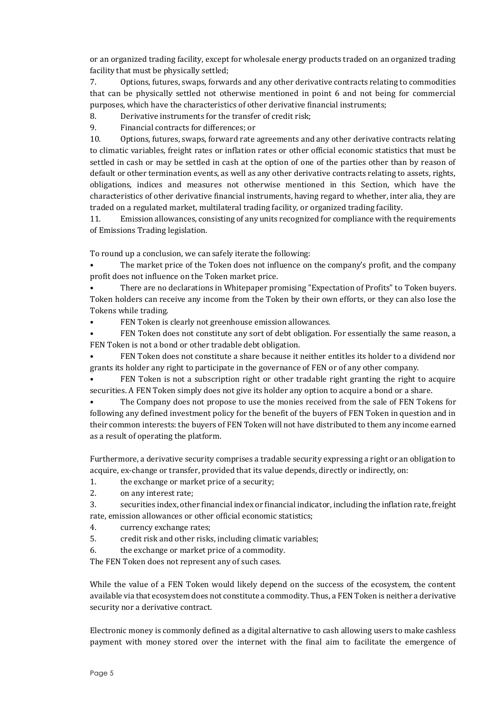or an organized trading facility, except for wholesale energy products traded on an organized trading facility that must be physically settled;

7. Options, futures, swaps, forwards and any other derivative contracts relating to commodities that can be physically settled not otherwise mentioned in point 6 and not being for commercial purposes, which have the characteristics of other derivative financial instruments;

8. Derivative instruments for the transfer of credit risk;

9. Financial contracts for differences; or

10. Options, futures, swaps, forward rate agreements and any other derivative contracts relating to climatic variables, freight rates or inflation rates or other official economic statistics that must be settled in cash or may be settled in cash at the option of one of the parties other than by reason of default or other termination events, as well as any other derivative contracts relating to assets, rights, obligations, indices and measures not otherwise mentioned in this Section, which have the characteristics of other derivative financial instruments, having regard to whether, inter alia, they are traded on a regulated market, multilateral trading facility, or organized trading facility.

11. Emission allowances, consisting of any units recognized for compliance with the requirements of Emissions Trading legislation.

To round up a conclusion, we can safely iterate the following:

• The market price of the Token does not influence on the company's profit, and the company profit does not influence on the Token market price.

• There are no declarations in Whitepaper promising "Expectation of Profits" to Token buyers. Token holders can receive any income from the Token by their own efforts, or they can also lose the Tokens while trading.

FEN Token is clearly not greenhouse emission allowances.

• FEN Token does not constitute any sort of debt obligation. For essentially the same reason, a FEN Token is not a bond or other tradable debt obligation.

• FEN Token does not constitute a share because it neither entitles its holder to a dividend nor grants its holder any right to participate in the governance of FEN or of any other company.

FEN Token is not a subscription right or other tradable right granting the right to acquire securities. A FEN Token simply does not give its holder any option to acquire a bond or a share.

• The Company does not propose to use the monies received from the sale of FEN Tokens for following any defined investment policy for the benefit of the buyers of FEN Token in question and in their common interests: the buyers of FEN Token will not have distributed to them any income earned as a result of operating the platform.

Furthermore, a derivative security comprises a tradable security expressing a right or an obligation to acquire, ex-change or transfer, provided that its value depends, directly or indirectly, on:

1. the exchange or market price of a security;

2. on any interest rate;

3. securities index, other financial index or financial indicator, including the inflation rate, freight rate, emission allowances or other official economic statistics;

4. currency exchange rates;

5. credit risk and other risks, including climatic variables;

6. the exchange or market price of a commodity.

The FEN Token does not represent any of such cases.

While the value of a FEN Token would likely depend on the success of the ecosystem, the content available via that ecosystem does not constitute a commodity. Thus, a FENToken is neither a derivative security nor a derivative contract.

Electronic money is commonly defined as a digital alternative to cash allowing users to make cashless payment with money stored over the internet with the final aim to facilitate the emergence of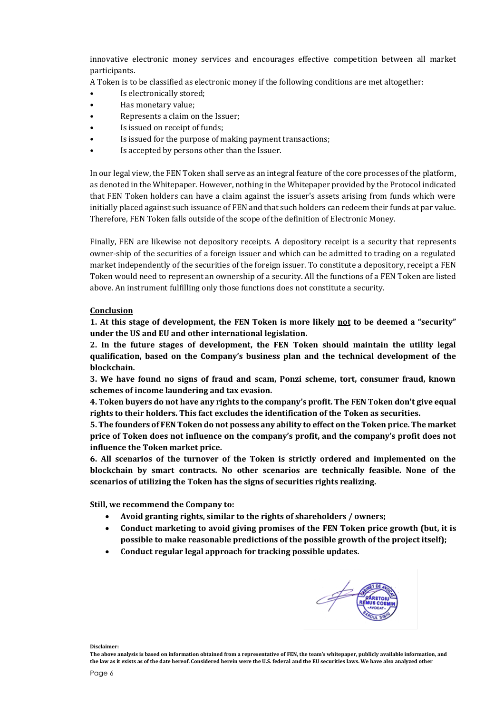innovative electronic money services and encourages effective competition between all market participants.

A Token is to be classified as electronic money if the following conditions are met altogether:

- Is electronically stored;
- Has monetary value;
- Represents a claim on the Issuer;
- Is issued on receipt of funds;
- Is issued for the purpose of making payment transactions;
- Is accepted by persons other than the Issuer.

In our legal view, the FEN Token shall serve as an integral feature of the core processes of the platform, as denoted in the Whitepaper. However, nothing in the Whitepaper provided by the Protocol indicated that FEN Token holders can have a claim against the issuer's assets arising from funds which were initially placed against such issuance of FEN and that such holders can redeem their funds at par value. Therefore, FEN Token falls outside of the scope of the definition of Electronic Money.

Finally, FEN are likewise not depository receipts. A depository receipt is a security that represents owner-ship of the securities of a foreign issuer and which can be admitted to trading on a regulated market independently of the securities of the foreign issuer. To constitute a depository, receipt a FEN Token would need to represent an ownership of a security. All the functions of a FEN Token are listed above. An instrument fulfilling only those functions does not constitute a security.

#### **Conclusion**

**1. At this stage of development, the FEN Token is more likely not to be deemed a "security" under the US and EU and other international legislation.**

**2. In the future stages of development, the FEN Token should maintain the utility legal qualification, based on the Company's business plan and the technical development of the blockchain.**

**3. We have found no signs of fraud and scam, Ponzi scheme, tort, consumer fraud, known schemes of income laundering and tax evasion.**

**4. Token buyers do not have any rights to the company's profit. The FEN Token don't give equal rights to their holders. This fact excludes the identification of the Token as securities.**

**5. The founders of FEN Token do not possess any ability to effect on the Token price. The market price of Token does not influence on the company's profit, and the company's profit does not influence the Token market price.**

**6. All scenarios of the turnover of the Token is strictly ordered and implemented on the blockchain by smart contracts. No other scenarios are technically feasible. None of the scenarios of utilizing the Token has the signs of securities rights realizing.**

**Still, we recommend the Company to:**

- **Avoid granting rights, similar to the rights of shareholders / owners;**
- **Conduct marketing to avoid giving promises of the FEN Token price growth (but, it is possible to make reasonable predictions of the possible growth of the project itself);**
- **Conduct regular legal approach for tracking possible updates.**



#### **Disclaimer:**